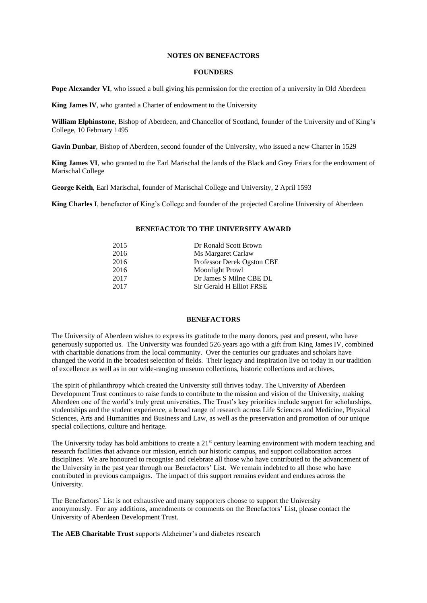## **NOTES ON BENEFACTORS**

#### **FOUNDERS**

**Pope Alexander VI**, who issued a bull giving his permission for the erection of a university in Old Aberdeen

**King James lV**, who granted a Charter of endowment to the University

**William Elphinstone**, Bishop of Aberdeen, and Chancellor of Scotland, founder of the University and of King's College, 10 February 1495

**Gavin Dunbar**, Bishop of Aberdeen, second founder of the University, who issued a new Charter in 1529

**King James VI**, who granted to the Earl Marischal the lands of the Black and Grey Friars for the endowment of Marischal College

**George Keith**, Earl Marischal, founder of Marischal College and University, 2 April 1593

**King Charles I**, benefactor of King's College and founder of the projected Caroline University of Aberdeen

#### **BENEFACTOR TO THE UNIVERSITY AWARD**

| 2015 | Dr Ronald Scott Brown      |
|------|----------------------------|
| 2016 | Ms Margaret Carlaw         |
| 2016 | Professor Derek Ogston CBE |
| 2016 | Moonlight Prowl            |
| 2017 | Dr James S Milne CBE DL    |
| 2017 | Sir Gerald H Elliot FRSE   |

# **BENEFACTORS**

The University of Aberdeen wishes to express its gratitude to the many donors, past and present, who have generously supported us. The University was founded 526 years ago with a gift from King James IV, combined with charitable donations from the local community. Over the centuries our graduates and scholars have changed the world in the broadest selection of fields. Their legacy and inspiration live on today in our tradition of excellence as well as in our wide-ranging museum collections, historic collections and archives.

The spirit of philanthropy which created the University still thrives today. The University of Aberdeen Development Trust continues to raise funds to contribute to the mission and vision of the University, making Aberdeen one of the world's truly great universities. The Trust's key priorities include support for scholarships, studentships and the student experience, a broad range of research across Life Sciences and Medicine, Physical Sciences, Arts and Humanities and Business and Law, as well as the preservation and promotion of our unique special collections, culture and heritage.

The University today has bold ambitions to create a 21<sup>st</sup> century learning environment with modern teaching and research facilities that advance our mission, enrich our historic campus, and support collaboration across disciplines. We are honoured to recognise and celebrate all those who have contributed to the advancement of the University in the past year through our Benefactors' List. We remain indebted to all those who have contributed in previous campaigns. The impact of this support remains evident and endures across the University.

The Benefactors' List is not exhaustive and many supporters choose to support the University anonymously. For any additions, amendments or comments on the Benefactors' List, please contact the University of Aberdeen Development Trust.

**The AEB Charitable Trust** supports Alzheimer's and diabetes research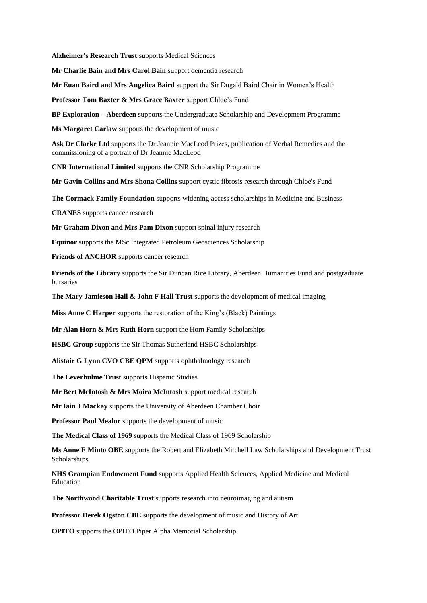**Alzheimer's Research Trust** supports Medical Sciences

**Mr Charlie Bain and Mrs Carol Bain** support dementia research

**Mr Euan Baird and Mrs Angelica Baird** support the Sir Dugald Baird Chair in Women's Health

**Professor Tom Baxter & Mrs Grace Baxter** support Chloe's Fund

**BP Exploration – Aberdeen** supports the Undergraduate Scholarship and Development Programme

**Ms Margaret Carlaw** supports the development of music

**Ask Dr Clarke Ltd** supports the Dr Jeannie MacLeod Prizes, publication of Verbal Remedies and the commissioning of a portrait of Dr Jeannie MacLeod

**CNR International Limited** supports the CNR Scholarship Programme

**Mr Gavin Collins and Mrs Shona Collins** support cystic fibrosis research through Chloe's Fund

**The Cormack Family Foundation** supports widening access scholarships in Medicine and Business

**CRANES** supports cancer research

**Mr Graham Dixon and Mrs Pam Dixon** support spinal injury research

**Equinor** supports the MSc Integrated Petroleum Geosciences Scholarship

**Friends of ANCHOR** supports cancer research

**Friends of the Library** supports the Sir Duncan Rice Library, Aberdeen Humanities Fund and postgraduate bursaries

**The Mary Jamieson Hall & John F Hall Trust** supports the development of medical imaging

**Miss Anne C Harper** supports the restoration of the King's (Black) Paintings

**Mr Alan Horn & Mrs Ruth Horn** support the Horn Family Scholarships

**HSBC Group** supports the Sir Thomas Sutherland HSBC Scholarships

**Alistair G Lynn CVO CBE QPM** supports ophthalmology research

**The Leverhulme Trust** supports Hispanic Studies

**Mr Bert McIntosh & Mrs Moira McIntosh** support medical research

**Mr Iain J Mackay** supports the University of Aberdeen Chamber Choir

**Professor Paul Mealor** supports the development of music

**The Medical Class of 1969** supports the Medical Class of 1969 Scholarship

**Ms Anne E Minto OBE** supports the Robert and Elizabeth Mitchell Law Scholarships and Development Trust Scholarships

**NHS Grampian Endowment Fund** supports Applied Health Sciences, Applied Medicine and Medical Education

**The Northwood Charitable Trust** supports research into neuroimaging and autism

**Professor Derek Ogston CBE** supports the development of music and History of Art

**OPITO** supports the OPITO Piper Alpha Memorial Scholarship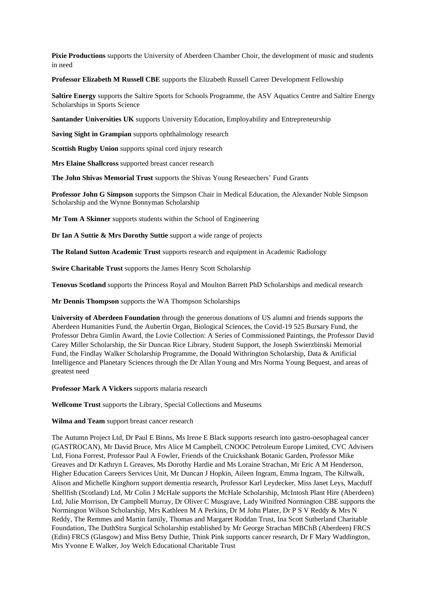**Pixie Productions** supports the University of Aberdeen Chamber Choir, the development of music and students in need

**Professor Elizabeth M Russell CBE** supports the Elizabeth Russell Career Development Fellowship

**Saltire Energy** supports the Saltire Sports for Schools Programme, the ASV Aquatics Centre and Saltire Energy Scholarships in Sports Science

**Santander Universities UK** supports University Education, Employability and Entrepreneurship

**Saving Sight in Grampian** supports ophthalmology research

**Scottish Rugby Union** supports spinal cord injury research

**Mrs Elaine Shallcross** supported breast cancer research

**The John Shivas Memorial Trust** supports the Shivas Young Researchers' Fund Grants

**Professor John G Simpson** supports the Simpson Chair in Medical Education, the Alexander Noble Simpson Scholarship and the Wynne Bonnyman Scholarship

**Mr Tom A Skinner** supports students within the School of Engineering

**Dr Ian A Suttie & Mrs Dorothy Suttie** support a wide range of projects

**The Roland Sutton Academic Trust** supports research and equipment in Academic Radiology

**Swire Charitable Trust** supports the James Henry Scott Scholarship

**Tenovus Scotland** supports the Princess Royal and Moulton Barrett PhD Scholarships and medical research

**Mr Dennis Thompson** supports the WA Thompson Scholarships

**University of Aberdeen Foundation** through the generous donations of US alumni and friends supports the Aberdeen Humanities Fund, the Aubertin Organ, Biological Sciences, the Covid-19 525 Bursary Fund, the Professor Debra Gimlin Award, the Lovie Collection: A Series of Commissioned Paintings, the Professor David Carey Miller Scholarship, the Sir Duncan Rice Library, Student Support, the Joseph Swierzbinski Memorial Fund, the Findlay Walker Scholarship Programme, the Donald Withrington Scholarship, Data & Artificial Intelligence and Planetary Sciences through the Dr Allan Young and Mrs Norma Young Bequest, and areas of greatest need

**Professor Mark A Vickers** supports malaria research

**Wellcome Trust** supports the Library, Special Collections and Museums

**Wilma and Team** support breast cancer research

The Autumn Project Ltd, Dr Paul E Binns, Ms Irene E Black supports research into gastro-oesophageal cancer (GASTROCAN), Mr David Bruce, Mrs Alice M Campbell, CNOOC Petroleum Europe Limited, CVC Advisers Ltd, Fiona Forrest, Professor Paul A Fowler, Friends of the Cruickshank Botanic Garden, Professor Mike Greaves and Dr Kathryn L Greaves, Ms Dorothy Hardie and Ms Loraine Strachan, Mr Eric A M Henderson, Higher Education Careers Services Unit, Mr Duncan J Hopkin, Aileen Ingram, Emma Ingram, The Kiltwalk, Alison and Michelle Kinghorn support dementia research, Professor Karl Leydecker, Miss Janet Leys, Macduff Shellfish (Scotland) Ltd, Mr Colin J McHale supports the McHale Scholarship, McIntosh Plant Hire (Aberdeen) Ltd, Julie Morrison, Dr Campbell Murray, Dr Oliver C Musgrave, Lady Winifred Normington CBE supports the Normington Wilson Scholarship, Mrs Kathleen M A Perkins, Dr M John Plater, Dr P S V Reddy & Mrs N Reddy, The Remmes and Martin family, Thomas and Margaret Roddan Trust, Ina Scott Sutherland Charitable Foundation, The DuthStra Surgical Scholarship established by Mr George Strachan MBChB (Aberdeen) FRCS (Edin) FRCS (Glasgow) and Miss Betsy Duthie, Think Pink supports cancer research, Dr F Mary Waddington, Mrs Yvonne E Walker, Joy Welch Educational Charitable Trust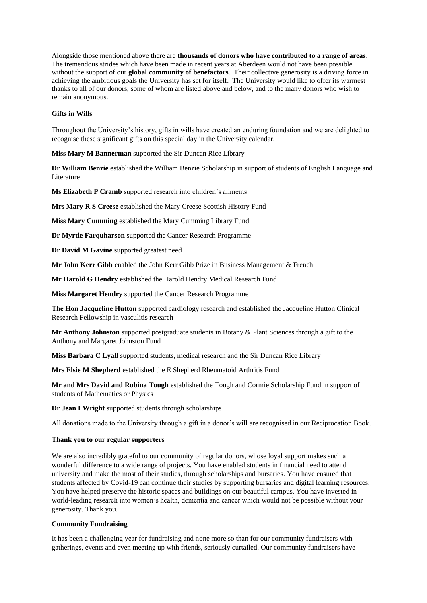Alongside those mentioned above there are **thousands of donors who have contributed to a range of areas**. The tremendous strides which have been made in recent years at Aberdeen would not have been possible without the support of our **global community of benefactors**. Their collective generosity is a driving force in achieving the ambitious goals the University has set for itself. The University would like to offer its warmest thanks to all of our donors, some of whom are listed above and below, and to the many donors who wish to remain anonymous.

# **Gifts in Wills**

Throughout the University's history, gifts in wills have created an enduring foundation and we are delighted to recognise these significant gifts on this special day in the University calendar.

**Miss Mary M Bannerman** supported the Sir Duncan Rice Library

**Dr William Benzie** established the William Benzie Scholarship in support of students of English Language and Literature

**Ms Elizabeth P Cramb** supported research into children's ailments

**Mrs Mary R S Creese** established the Mary Creese Scottish History Fund

**Miss Mary Cumming** established the Mary Cumming Library Fund

**Dr Myrtle Farquharson** supported the Cancer Research Programme

**Dr David M Gavine** supported greatest need

**Mr John Kerr Gibb** enabled the John Kerr Gibb Prize in Business Management & French

**Mr Harold G Hendry** established the Harold Hendry Medical Research Fund

**Miss Margaret Hendry** supported the Cancer Research Programme

**The Hon Jacqueline Hutton** supported cardiology research and established the Jacqueline Hutton Clinical Research Fellowship in vasculitis research

**Mr Anthony Johnston** supported postgraduate students in Botany & Plant Sciences through a gift to the Anthony and Margaret Johnston Fund

**Miss Barbara C Lyall** supported students, medical research and the Sir Duncan Rice Library

**Mrs Elsie M Shepherd** established the E Shepherd Rheumatoid Arthritis Fund

**Mr and Mrs David and Robina Tough** established the Tough and Cormie Scholarship Fund in support of students of Mathematics or Physics

**Dr Jean I Wright** supported students through scholarships

All donations made to the University through a gift in a donor's will are recognised in our Reciprocation Book.

## **Thank you to our regular supporters**

We are also incredibly grateful to our community of regular donors, whose loyal support makes such a wonderful difference to a wide range of projects. You have enabled students in financial need to attend university and make the most of their studies, through scholarships and bursaries. You have ensured that students affected by Covid-19 can continue their studies by supporting bursaries and digital learning resources. You have helped preserve the historic spaces and buildings on our beautiful campus. You have invested in world-leading research into women's health, dementia and cancer which would not be possible without your generosity. Thank you.

## **Community Fundraising**

It has been a challenging year for fundraising and none more so than for our community fundraisers with gatherings, events and even meeting up with friends, seriously curtailed. Our community fundraisers have